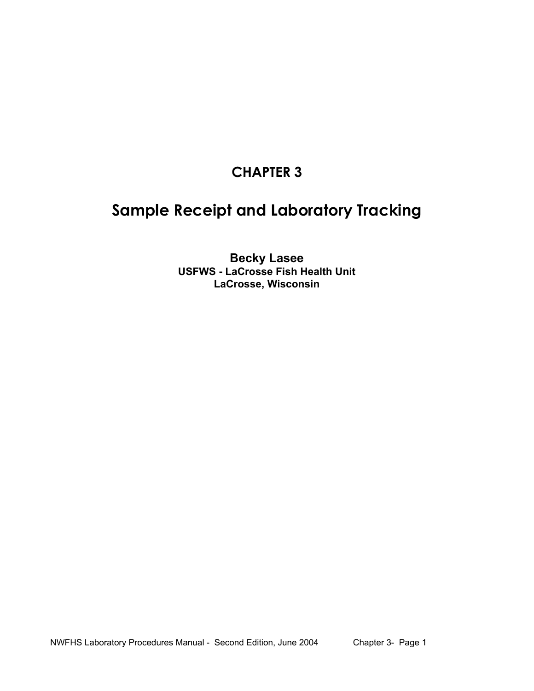# **CHAPTER 3**

# **Sample Receipt and Laboratory Tracking**

**Becky Lasee USFWS - LaCrosse Fish Health Unit LaCrosse, Wisconsin**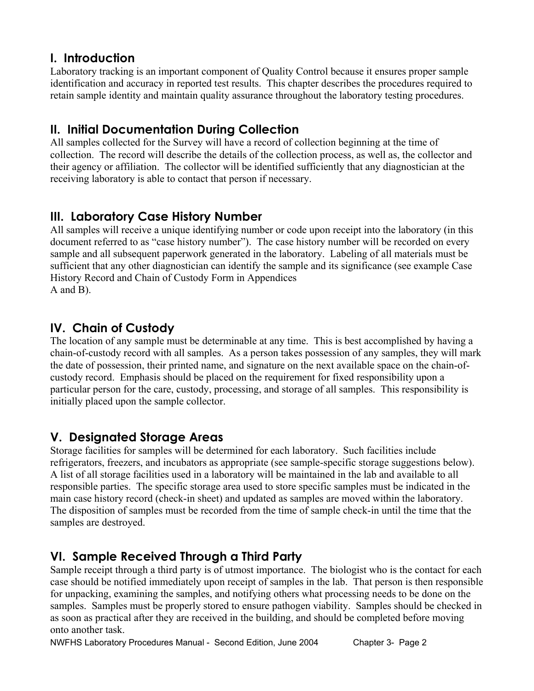### **I. Introduction**

Laboratory tracking is an important component of Quality Control because it ensures proper sample identification and accuracy in reported test results. This chapter describes the procedures required to retain sample identity and maintain quality assurance throughout the laboratory testing procedures.

### **II. Initial Documentation During Collection**

All samples collected for the Survey will have a record of collection beginning at the time of collection. The record will describe the details of the collection process, as well as, the collector and their agency or affiliation. The collector will be identified sufficiently that any diagnostician at the receiving laboratory is able to contact that person if necessary.

### **III. Laboratory Case History Number**

All samples will receive a unique identifying number or code upon receipt into the laboratory (in this document referred to as "case history number"). The case history number will be recorded on every sample and all subsequent paperwork generated in the laboratory. Labeling of all materials must be sufficient that any other diagnostician can identify the sample and its significance (see example Case History Record and Chain of Custody Form in Appendices A and B).

## **IV. Chain of Custody**

The location of any sample must be determinable at any time. This is best accomplished by having a chain-of-custody record with all samples. As a person takes possession of any samples, they will mark the date of possession, their printed name, and signature on the next available space on the chain-ofcustody record. Emphasis should be placed on the requirement for fixed responsibility upon a particular person for the care, custody, processing, and storage of all samples. This responsibility is initially placed upon the sample collector.

## **V. Designated Storage Areas**

Storage facilities for samples will be determined for each laboratory. Such facilities include refrigerators, freezers, and incubators as appropriate (see sample-specific storage suggestions below). A list of all storage facilities used in a laboratory will be maintained in the lab and available to all responsible parties. The specific storage area used to store specific samples must be indicated in the main case history record (check-in sheet) and updated as samples are moved within the laboratory. The disposition of samples must be recorded from the time of sample check-in until the time that the samples are destroyed.

## **VI. Sample Received Through a Third Party**

Sample receipt through a third party is of utmost importance. The biologist who is the contact for each case should be notified immediately upon receipt of samples in the lab. That person is then responsible for unpacking, examining the samples, and notifying others what processing needs to be done on the samples. Samples must be properly stored to ensure pathogen viability. Samples should be checked in as soon as practical after they are received in the building, and should be completed before moving onto another task.

NWFHS Laboratory Procedures Manual - Second Edition, June 2004 Chapter 3- Page 2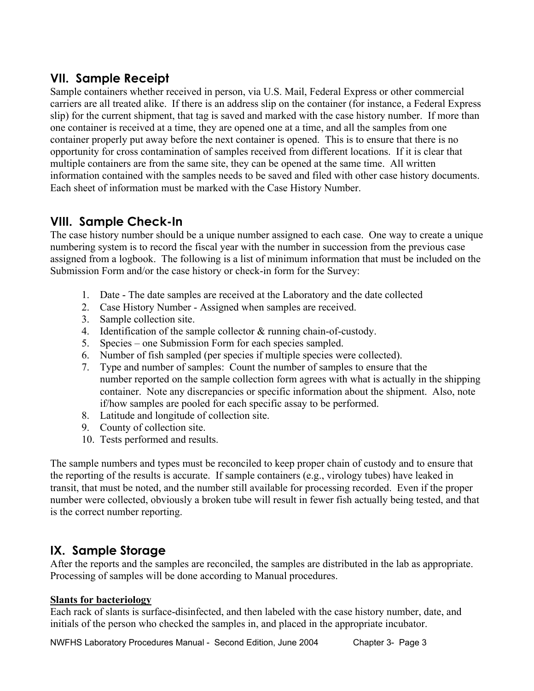### **VII. Sample Receipt**

Sample containers whether received in person, via U.S. Mail, Federal Express or other commercial carriers are all treated alike. If there is an address slip on the container (for instance, a Federal Express slip) for the current shipment, that tag is saved and marked with the case history number. If more than one container is received at a time, they are opened one at a time, and all the samples from one container properly put away before the next container is opened. This is to ensure that there is no opportunity for cross contamination of samples received from different locations. If it is clear that multiple containers are from the same site, they can be opened at the same time. All written information contained with the samples needs to be saved and filed with other case history documents. Each sheet of information must be marked with the Case History Number.

### **VIII. Sample Check-In**

The case history number should be a unique number assigned to each case. One way to create a unique numbering system is to record the fiscal year with the number in succession from the previous case assigned from a logbook. The following is a list of minimum information that must be included on the Submission Form and/or the case history or check-in form for the Survey:

- 1. Date The date samples are received at the Laboratory and the date collected
- 2. Case History Number Assigned when samples are received.
- 3. Sample collection site.
- 4. Identification of the sample collector & running chain-of-custody.
- 5. Species one Submission Form for each species sampled.
- 6. Number of fish sampled (per species if multiple species were collected).
- 7. Type and number of samples: Count the number of samples to ensure that the number reported on the sample collection form agrees with what is actually in the shipping container. Note any discrepancies or specific information about the shipment. Also, note if/how samples are pooled for each specific assay to be performed.
- 8. Latitude and longitude of collection site.
- 9. County of collection site.
- 10. Tests performed and results.

The sample numbers and types must be reconciled to keep proper chain of custody and to ensure that the reporting of the results is accurate. If sample containers (e.g., virology tubes) have leaked in transit, that must be noted, and the number still available for processing recorded. Even if the proper number were collected, obviously a broken tube will result in fewer fish actually being tested, and that is the correct number reporting.

### **IX. Sample Storage**

After the reports and the samples are reconciled, the samples are distributed in the lab as appropriate. Processing of samples will be done according to Manual procedures.

### **Slants for bacteriology**

Each rack of slants is surface-disinfected, and then labeled with the case history number, date, and initials of the person who checked the samples in, and placed in the appropriate incubator.

NWFHS Laboratory Procedures Manual - Second Edition, June 2004 Chapter 3- Page 3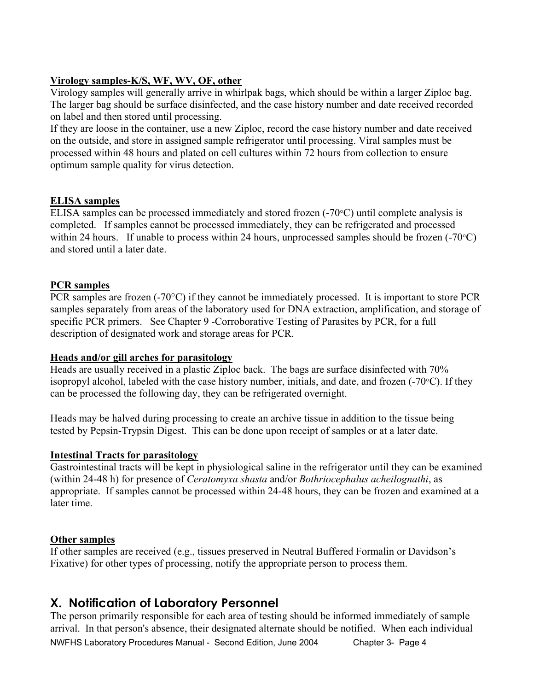#### **Virology samples-K/S, WF, WV, OF, other**

Virology samples will generally arrive in whirlpak bags, which should be within a larger Ziploc bag. The larger bag should be surface disinfected, and the case history number and date received recorded on label and then stored until processing.

If they are loose in the container, use a new Ziploc, record the case history number and date received on the outside, and store in assigned sample refrigerator until processing. Viral samples must be processed within 48 hours and plated on cell cultures within 72 hours from collection to ensure optimum sample quality for virus detection.

#### **ELISA samples**

ELISA samples can be processed immediately and stored frozen (-70°C) until complete analysis is completed. If samples cannot be processed immediately, they can be refrigerated and processed within 24 hours. If unable to process within 24 hours, unprocessed samples should be frozen  $(-70^{\circ}C)$ and stored until a later date.

#### **PCR samples**

PCR samples are frozen (-70°C) if they cannot be immediately processed. It is important to store PCR samples separately from areas of the laboratory used for DNA extraction, amplification, and storage of specific PCR primers. See Chapter 9 -Corroborative Testing of Parasites by PCR, for a full description of designated work and storage areas for PCR.

#### **Heads and/or gill arches for parasitology**

Heads are usually received in a plastic Ziploc back. The bags are surface disinfected with 70% isopropyl alcohol, labeled with the case history number, initials, and date, and frozen (-70°C). If they can be processed the following day, they can be refrigerated overnight.

Heads may be halved during processing to create an archive tissue in addition to the tissue being tested by Pepsin-Trypsin Digest. This can be done upon receipt of samples or at a later date.

#### **Intestinal Tracts for parasitology**

Gastrointestinal tracts will be kept in physiological saline in the refrigerator until they can be examined (within 24-48 h) for presence of *Ceratomyxa shasta* and/or *Bothriocephalus acheilognathi*, as appropriate. If samples cannot be processed within 24-48 hours, they can be frozen and examined at a later time.

#### **Other samples**

If other samples are received (e.g., tissues preserved in Neutral Buffered Formalin or Davidson's Fixative) for other types of processing, notify the appropriate person to process them.

### **X. Notification of Laboratory Personnel**

NWFHS Laboratory Procedures Manual - Second Edition, June 2004 Chapter 3- Page 4 The person primarily responsible for each area of testing should be informed immediately of sample arrival. In that person's absence, their designated alternate should be notified. When each individual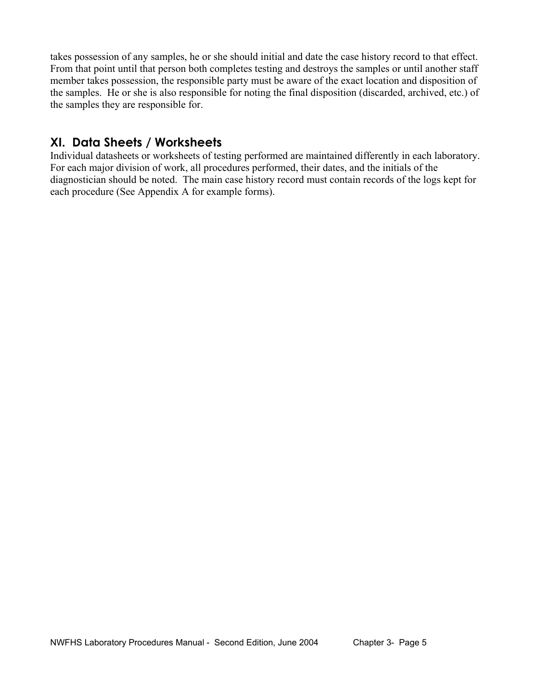takes possession of any samples, he or she should initial and date the case history record to that effect. From that point until that person both completes testing and destroys the samples or until another staff member takes possession, the responsible party must be aware of the exact location and disposition of the samples. He or she is also responsible for noting the final disposition (discarded, archived, etc.) of the samples they are responsible for.

### **XI. Data Sheets / Worksheets**

Individual datasheets or worksheets of testing performed are maintained differently in each laboratory. For each major division of work, all procedures performed, their dates, and the initials of the diagnostician should be noted. The main case history record must contain records of the logs kept for each procedure (See Appendix A for example forms).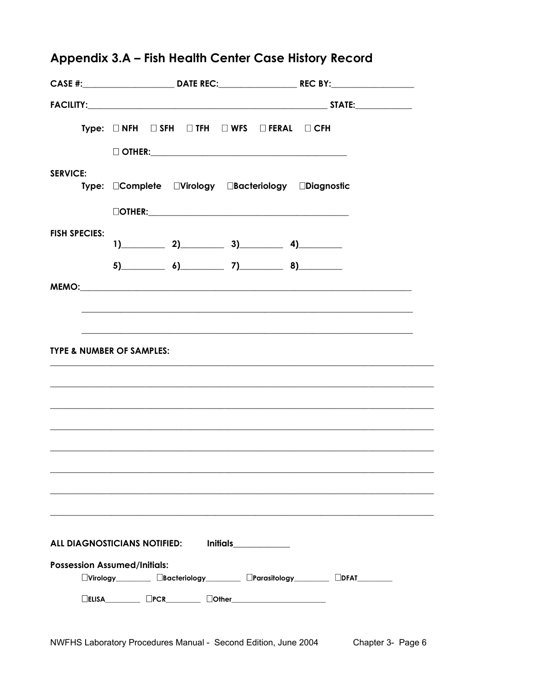|                                                   |  |  |                                                                           |  | CASE #:______________________________DATE REC:___________________________________ |  |  |
|---------------------------------------------------|--|--|---------------------------------------------------------------------------|--|-----------------------------------------------------------------------------------|--|--|
|                                                   |  |  |                                                                           |  |                                                                                   |  |  |
|                                                   |  |  | Type: $\Box$ NFH $\Box$ SFH $\Box$ TFH $\Box$ WFS $\Box$ FERAL $\Box$ CFH |  |                                                                                   |  |  |
|                                                   |  |  |                                                                           |  |                                                                                   |  |  |
| <b>SERVICE:</b>                                   |  |  | Type: Complete CVirology CBacteriology CDiagnostic                        |  |                                                                                   |  |  |
|                                                   |  |  |                                                                           |  |                                                                                   |  |  |
|                                                   |  |  | $\boxed{\text{OTHEN:}}$                                                   |  |                                                                                   |  |  |
| <b>FISH SPECIES:</b>                              |  |  | $1)$ 2) 3) 4)                                                             |  |                                                                                   |  |  |
|                                                   |  |  | $5)$ 6) 7) 8)                                                             |  |                                                                                   |  |  |
|                                                   |  |  |                                                                           |  |                                                                                   |  |  |
|                                                   |  |  |                                                                           |  |                                                                                   |  |  |
|                                                   |  |  |                                                                           |  |                                                                                   |  |  |
| <b>TYPE &amp; NUMBER OF SAMPLES:</b>              |  |  |                                                                           |  |                                                                                   |  |  |
|                                                   |  |  |                                                                           |  |                                                                                   |  |  |
|                                                   |  |  |                                                                           |  |                                                                                   |  |  |
|                                                   |  |  |                                                                           |  |                                                                                   |  |  |
|                                                   |  |  |                                                                           |  |                                                                                   |  |  |
|                                                   |  |  |                                                                           |  |                                                                                   |  |  |
|                                                   |  |  |                                                                           |  |                                                                                   |  |  |
|                                                   |  |  |                                                                           |  |                                                                                   |  |  |
|                                                   |  |  |                                                                           |  |                                                                                   |  |  |
|                                                   |  |  |                                                                           |  |                                                                                   |  |  |
| ALL DIAGNOSTICIANS NOTIFIED:<br>Initials ________ |  |  |                                                                           |  |                                                                                   |  |  |
| <b>Possession Assumed/Initials:</b>               |  |  |                                                                           |  |                                                                                   |  |  |
|                                                   |  |  |                                                                           |  |                                                                                   |  |  |
|                                                   |  |  | $\Box$ ELISA $\Box$ PCR $\Box$ DOther $\Box$                              |  |                                                                                   |  |  |

# Appendix 3.A - Fish Health Center Case History Record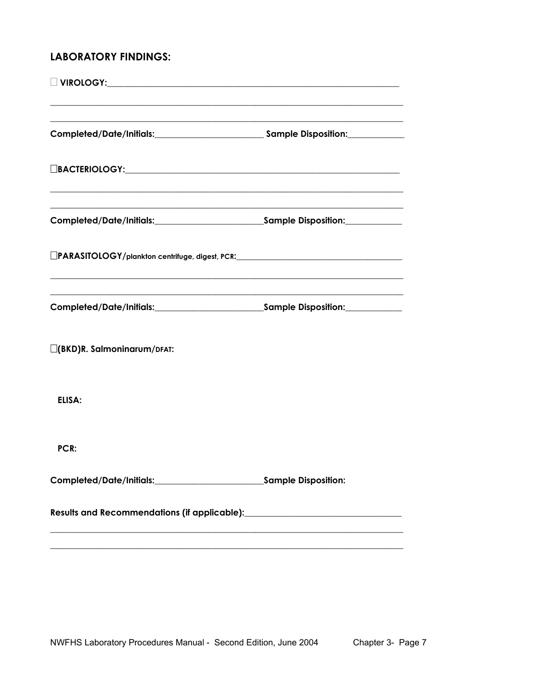### **LABORATORY FINDINGS:**

| Completed/Date/Initials:____________________________Sample Disposition:_________ |  |
|----------------------------------------------------------------------------------|--|
|                                                                                  |  |
|                                                                                  |  |
| LIPARASITOLOGY/plankton centrifuge, digest, PCR: _______________________________ |  |
|                                                                                  |  |
| $\Box$ (BKD)R. Salmoninarum/DFAT:                                                |  |
| ELISA:                                                                           |  |
| PCR:                                                                             |  |
|                                                                                  |  |
|                                                                                  |  |
|                                                                                  |  |